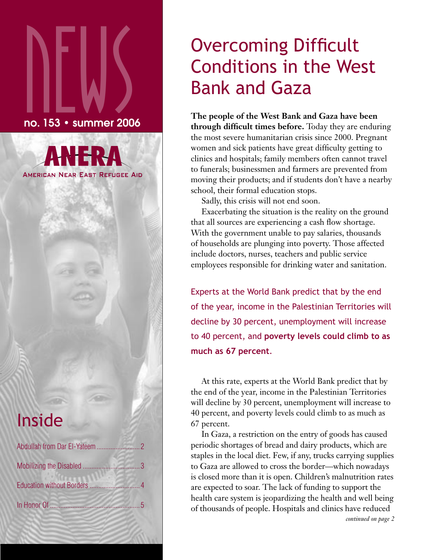# $\sum_{\text{no. 153}} \left\{\text{no. 153}}\right\}$ no. 153 • summer 2006

**AMERICAN NEAR EAST REFUGEE AID** 

## Inside

## Overcoming Difficult Conditions in the West Bank and Gaza

**The people of the West Bank and Gaza have been through difficult times before.** Today they are enduring the most severe humanitarian crisis since 2000. Pregnant women and sick patients have great difficulty getting to clinics and hospitals; family members often cannot travel to funerals; businessmen and farmers are prevented from moving their products; and if students don't have a nearby school, their formal education stops.

Sadly, this crisis will not end soon.

Exacerbating the situation is the reality on the ground that all sources are experiencing a cash flow shortage. With the government unable to pay salaries, thousands of households are plunging into poverty. Those affected include doctors, nurses, teachers and public service employees responsible for drinking water and sanitation.

Experts at the World Bank predict that by the end of the year, income in the Palestinian Territories will decline by 30 percent, unemployment will increase to 40 percent, and **poverty levels could climb to as much as 67 percent**.

At this rate, experts at the World Bank predict that by the end of the year, income in the Palestinian Territories will decline by 30 percent, unemployment will increase to 40 percent, and poverty levels could climb to as much as 67 percent.

In Gaza, a restriction on the entry of goods has caused periodic shortages of bread and dairy products, which are staples in the local diet. Few, if any, trucks carrying supplies to Gaza are allowed to cross the border—which nowadays is closed more than it is open. Children's malnutrition rates are expected to soar. The lack of funding to support the health care system is jeopardizing the health and well being of thousands of people. Hospitals and clinics have reduced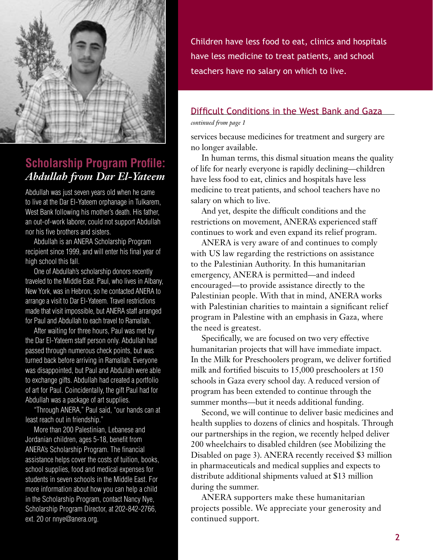

#### **Scholarship Program Profile:**  *Abdullah from Dar El-Yateem*

Abdullah was just seven years old when he came to live at the Dar El-Yateem orphanage in Tulkarem, West Bank following his mother's death. His father, an out-of-work laborer, could not support Abdullah nor his five brothers and sisters.

Abdullah is an ANERA Scholarship Program recipient since 1999, and will enter his final year of high school this fall.

One of Abdullah's scholarship donors recently traveled to the Middle East. Paul, who lives in Albany, New York, was in Hebron, so he contacted ANERA to arrange a visit to Dar El-Yateem. Travel restrictions made that visit impossible, but ANERA staff arranged for Paul and Abdullah to each travel to Ramallah.

After waiting for three hours, Paul was met by the Dar El-Yateem staff person only. Abdullah had passed through numerous check points, but was turned back before arriving in Ramallah. Everyone was disappointed, but Paul and Abdullah were able to exchange gifts. Abdullah had created a portfolio of art for Paul. Coincidentally, the gift Paul had for Abdullah was a package of art supplies.

"Through ANERA," Paul said, "our hands can at least reach out in friendship."

More than 200 Palestinian, Lebanese and Jordanian children, ages 5-18, benefit from ANERA's Scholarship Program. The financial assistance helps cover the costs of tuition, books, school supplies, food and medical expenses for students in seven schools in the Middle East. For more information about how you can help a child in the Scholarship Program, contact Nancy Nye, Scholarship Program Director, at 202-842-2766, ext. 20 or nnye@anera.org.

Children have less food to eat, clinics and hospitals have less medicine to treat patients, and school teachers have no salary on which to live.

#### Difficult Conditions in the West Bank and Gaza

#### *continued from page 1*

services because medicines for treatment and surgery are no longer available.

In human terms, this dismal situation means the quality of life for nearly everyone is rapidly declining—children have less food to eat, clinics and hospitals have less medicine to treat patients, and school teachers have no salary on which to live.

And yet, despite the difficult conditions and the restrictions on movement, ANERA's experienced staff continues to work and even expand its relief program.

ANERA is very aware of and continues to comply with US law regarding the restrictions on assistance to the Palestinian Authority. In this humanitarian emergency, ANERA is permitted—and indeed encouraged—to provide assistance directly to the Palestinian people. With that in mind, ANERA works with Palestinian charities to maintain a significant relief program in Palestine with an emphasis in Gaza, where the need is greatest.

Specifically, we are focused on two very effective humanitarian projects that will have immediate impact. In the Milk for Preschoolers program, we deliver fortified milk and fortified biscuits to 15,000 preschoolers at 150 schools in Gaza every school day. A reduced version of program has been extended to continue through the summer months—but it needs additional funding.

Second, we will continue to deliver basic medicines and health supplies to dozens of clinics and hospitals. Through our partnerships in the region, we recently helped deliver 200 wheelchairs to disabled children (see Mobilizing the Disabled on page 3). ANERA recently received \$3 million in pharmaceuticals and medical supplies and expects to distribute additional shipments valued at \$13 million during the summer.

ANERA supporters make these humanitarian projects possible. We appreciate your generosity and continued support.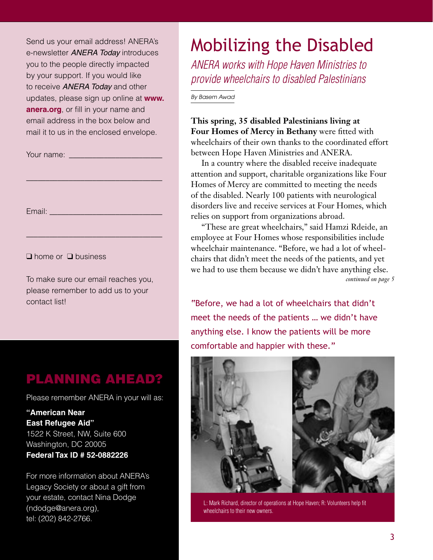Send us your email address! ANERA's e-newsletter **ANERA Today** introduces you to the people directly impacted by your support. If you would like to receive **ANERA Today** and other updates, please sign up online at **www. anera.org**, or fill in your name and email address in the box below and mail it to us in the enclosed envelope.

\_\_\_\_\_\_\_\_\_\_\_\_\_\_\_\_\_\_\_\_\_\_\_\_\_\_\_\_\_\_\_\_\_\_\_

\_\_\_\_\_\_\_\_\_\_\_\_\_\_\_\_\_\_\_\_\_\_\_\_\_\_\_\_\_\_\_\_\_\_\_

Your name: \_\_\_\_\_\_\_\_\_\_\_\_\_\_\_\_\_\_\_\_\_\_\_\_

Email: \_\_\_\_\_\_\_\_\_\_\_\_\_\_\_\_\_\_\_\_\_\_\_\_\_\_\_\_\_

❑ home or ❑ business

To make sure our email reaches you, please remember to add us to your contact list!

### PLANNING AHEAD?

Please remember ANERA in your will as:

**"American Near East Refugee Aid"** 1522 K Street, NW, Suite 600 Washington, DC 20005 **Federal Tax ID # 52-0882226**

For more information about ANERA's Legacy Society or about a gift from your estate, contact Nina Dodge (ndodge@anera.org), tel: (202) 842-2766.

## Mobilizing the Disabled

ANERA works with Hope Haven Ministries to provide wheelchairs to disabled Palestinians

By Basem Awad

**This spring, 35 disabled Palestinians living at Four Homes of Mercy in Bethany** were fitted with wheelchairs of their own thanks to the coordinated effort between Hope Haven Ministries and ANERA.

In a country where the disabled receive inadequate attention and support, charitable organizations like Four Homes of Mercy are committed to meeting the needs of the disabled. Nearly 100 patients with neurological disorders live and receive services at Four Homes, which relies on support from organizations abroad.

"These are great wheelchairs," said Hamzi Rdeide, an employee at Four Homes whose responsibilities include wheelchair maintenance. "Before, we had a lot of wheelchairs that didn't meet the needs of the patients, and yet we had to use them because we didn't have anything else. *continued on page 5*

"Before, we had a lot of wheelchairs that didn't meet the needs of the patients … we didn't have anything else. I know the patients will be more comfortable and happier with these."



L: Mark Richard, director of operations at Hope Haven; R: Volunteers help fit wheelchairs to their new owners.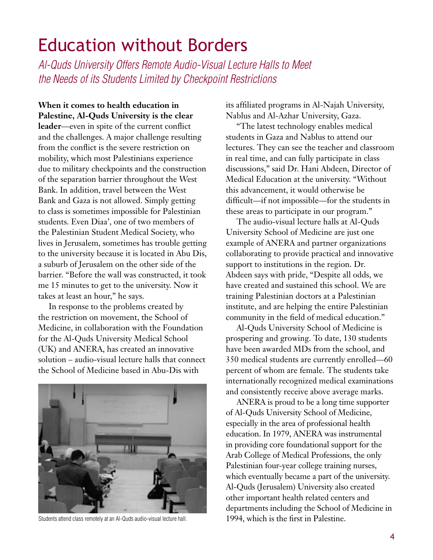## Education without Borders

Al-Quds University Offers Remote Audio-Visual Lecture Halls to Meet the Needs of its Students Limited by Checkpoint Restrictions

**When it comes to health education in Palestine, Al-Quds University is the clear leader**—even in spite of the current conflict and the challenges. A major challenge resulting from the conflict is the severe restriction on mobility, which most Palestinians experience due to military checkpoints and the construction of the separation barrier throughout the West Bank. In addition, travel between the West Bank and Gaza is not allowed. Simply getting to class is sometimes impossible for Palestinian students. Even Diaa', one of two members of the Palestinian Student Medical Society, who lives in Jerusalem, sometimes has trouble getting to the university because it is located in Abu Dis, a suburb of Jerusalem on the other side of the barrier. "Before the wall was constructed, it took me 15 minutes to get to the university. Now it takes at least an hour," he says.

In response to the problems created by the restriction on movement, the School of Medicine, in collaboration with the Foundation for the Al-Quds University Medical School (UK) and ANERA, has created an innovative solution – audio-visual lecture halls that connect the School of Medicine based in Abu-Dis with



Students attend class remotely at an Al-Quds audio-visual lecture hall.

its affiliated programs in Al-Najah University, Nablus and Al-Azhar University, Gaza.

"The latest technology enables medical students in Gaza and Nablus to attend our lectures. They can see the teacher and classroom in real time, and can fully participate in class discussions," said Dr. Hani Abdeen, Director of Medical Education at the university. "Without this advancement, it would otherwise be difficult—if not impossible—for the students in these areas to participate in our program."

The audio-visual lecture halls at Al-Quds University School of Medicine are just one example of ANERA and partner organizations collaborating to provide practical and innovative support to institutions in the region. Dr. Abdeen says with pride, "Despite all odds, we have created and sustained this school. We are training Palestinian doctors at a Palestinian institute, and are helping the entire Palestinian community in the field of medical education."

Al-Quds University School of Medicine is prospering and growing. To date, 130 students have been awarded MDs from the school, and 350 medical students are currently enrolled—60 percent of whom are female. The students take internationally recognized medical examinations and consistently receive above average marks.

ANERA is proud to be a long time supporter of Al-Quds University School of Medicine, especially in the area of professional health education. In 1979, ANERA was instrumental in providing core foundational support for the Arab College of Medical Professions, the only Palestinian four-year college training nurses, which eventually became a part of the university. Al-Quds (Jerusalem) University also created other important health related centers and departments including the School of Medicine in 1994, which is the first in Palestine.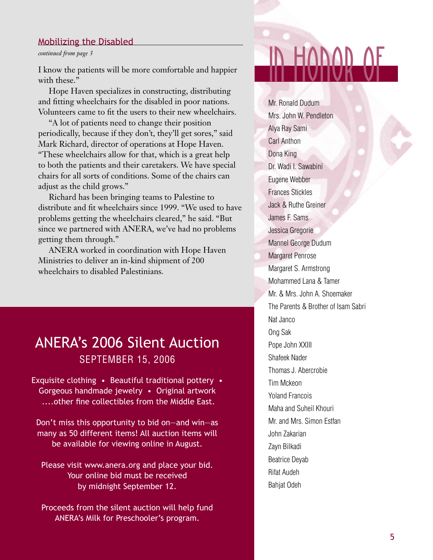#### Mobilizing the Disabled

#### *continued from page 3*

I know the patients will be more comfortable and happier with these."

Hope Haven specializes in constructing, distributing and fitting wheelchairs for the disabled in poor nations. Volunteers came to fit the users to their new wheelchairs.

"A lot of patients need to change their position periodically, because if they don't, they'll get sores," said Mark Richard, director of operations at Hope Haven. "These wheelchairs allow for that, which is a great help to both the patients and their caretakers. We have special chairs for all sorts of conditions. Some of the chairs can adjust as the child grows."

Richard has been bringing teams to Palestine to distribute and fit wheelchairs since 1999. "We used to have problems getting the wheelchairs cleared," he said. "But since we partnered with ANERA, we've had no problems getting them through."

ANERA worked in coordination with Hope Haven Ministries to deliver an in-kind shipment of 200 wheelchairs to disabled Palestinians.

## ANERA's 2006 Silent Auction SEPTEMBER 15, 2006

Exquisite clothing • Beautiful traditional pottery • Gorgeous handmade jewelry • Original artwork ....other fine collectibles from the Middle East.

Don't miss this opportunity to bid on—and win—as many as 50 different items! All auction items will be available for viewing online in August.

Please visit www.anera.org and place your bid. Your online bid must be received by midnight September 12.

Proceeds from the silent auction will help fund ANERA's Milk for Preschooler's program.

## innan i

Mr. Ronald Dudum Mrs. John W. Pendleton Alya Ray Sami Carl Anthon Dona King Dr. Wadi I. Sawabini Eugene Webber Frances Stickles Jack & Ruthe Greiner James F. Sams Jessica Gregorie Mannel George Dudum Margaret Penrose Margaret S. Armstrong Mohammed Lana & Tamer Mr. & Mrs. John A. Shoemaker The Parents & Brother of Isam Sabri Nat Janco Ong Sak Pope John XXIII Shafeek Nader Thomas J. Abercrobie Tim Mckeon Yoland Francois Maha and Suheil Khouri Mr. and Mrs. Simon Estfan John Zakarian Zayn Bilkadi Beatrice Deyab Rifat Audeh Bahjat Odeh